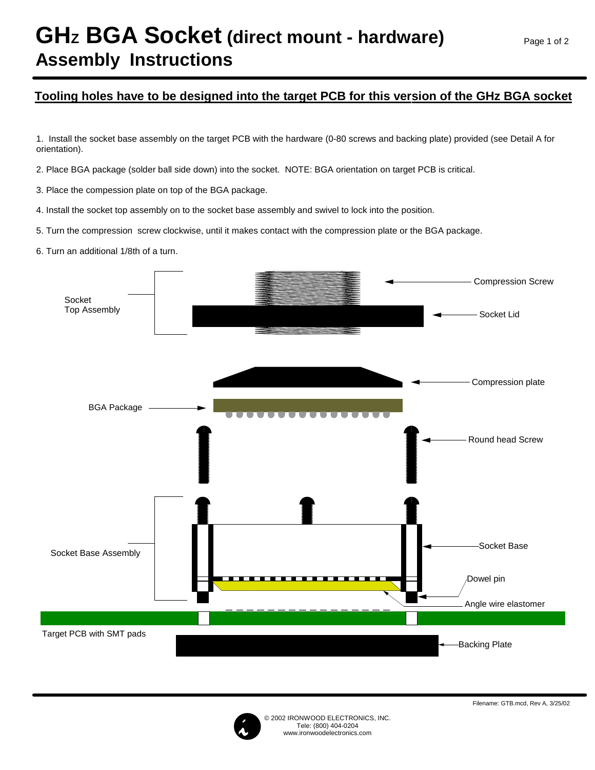## **GHz BGA Socket (direct mount - hardware) Assembly Instructions**

## **Tooling holes have to be designed into the target PCB for this version of the GHz BGA socket**

1. Install the socket base assembly on the target PCB with the hardware (0-80 screws and backing plate) provided (see Detail A for orientation).

2. Place BGA package (solder ball side down) into the socket. NOTE: BGA orientation on target PCB is critical.

3. Place the compession plate on top of the BGA package.

4. Install the socket top assembly on to the socket base assembly and swivel to lock into the position.

5. Turn the compression screw clockwise, until it makes contact with the compression plate or the BGA package.

6. Turn an additional 1/8th of a turn.





Filename: GTB.mcd, Rev A, 3/25/02